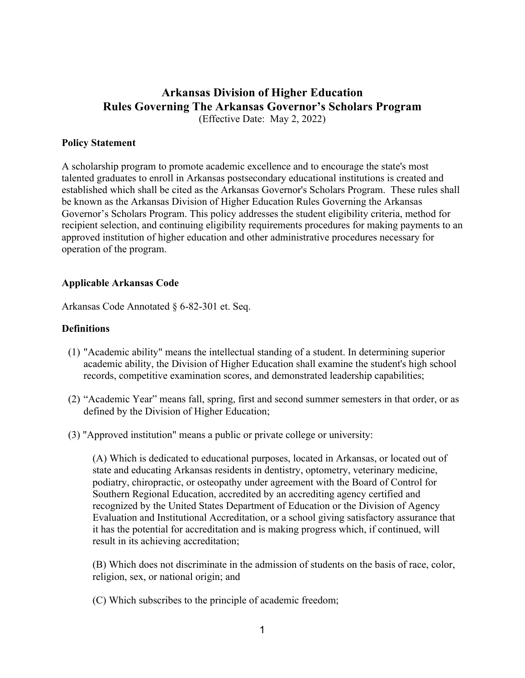# **Arkansas Division of Higher Education Rules Governing The Arkansas Governor's Scholars Program** (Effective Date: May 2, 2022)

### **Policy Statement**

A scholarship program to promote academic excellence and to encourage the state's most talented graduates to enroll in Arkansas postsecondary educational institutions is created and established which shall be cited as the Arkansas Governor's Scholars Program. These rules shall be known as the Arkansas Division of Higher Education Rules Governing the Arkansas Governor's Scholars Program. This policy addresses the student eligibility criteria, method for recipient selection, and continuing eligibility requirements procedures for making payments to an approved institution of higher education and other administrative procedures necessary for operation of the program.

### **Applicable Arkansas Code**

Arkansas Code Annotated § 6-82-301 et. Seq.

### **Definitions**

- (1) "Academic ability" means the intellectual standing of a student. In determining superior academic ability, the Division of Higher Education shall examine the student's high school records, competitive examination scores, and demonstrated leadership capabilities;
- (2) "Academic Year" means fall, spring, first and second summer semesters in that order, or as defined by the Division of Higher Education;
- (3) "Approved institution" means a public or private college or university:

 (A) Which is dedicated to educational purposes, located in Arkansas, or located out of state and educating Arkansas residents in dentistry, optometry, veterinary medicine, podiatry, chiropractic, or osteopathy under agreement with the Board of Control for Southern Regional Education, accredited by an accrediting agency certified and recognized by the United States Department of Education or the Division of Agency Evaluation and Institutional Accreditation, or a school giving satisfactory assurance that it has the potential for accreditation and is making progress which, if continued, will result in its achieving accreditation;

 (B) Which does not discriminate in the admission of students on the basis of race, color, religion, sex, or national origin; and

(C) Which subscribes to the principle of academic freedom;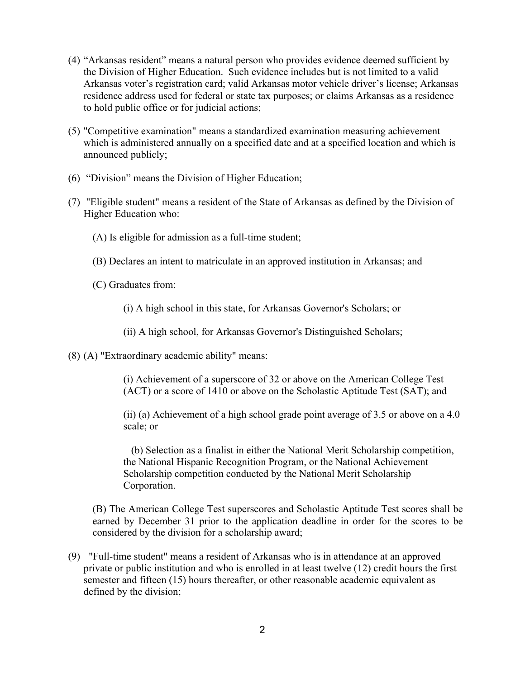- (4) "Arkansas resident" means a natural person who provides evidence deemed sufficient by the Division of Higher Education. Such evidence includes but is not limited to a valid Arkansas voter's registration card; valid Arkansas motor vehicle driver's license; Arkansas residence address used for federal or state tax purposes; or claims Arkansas as a residence to hold public office or for judicial actions;
- (5) "Competitive examination" means a standardized examination measuring achievement which is administered annually on a specified date and at a specified location and which is announced publicly;
- (6) "Division" means the Division of Higher Education;
- (7) "Eligible student" means a resident of the State of Arkansas as defined by the Division of Higher Education who:
	- (A) Is eligible for admission as a full-time student;
	- (B) Declares an intent to matriculate in an approved institution in Arkansas; and
	- (C) Graduates from:
		- (i) A high school in this state, for Arkansas Governor's Scholars; or
		- (ii) A high school, for Arkansas Governor's Distinguished Scholars;
- (8) (A) "Extraordinary academic ability" means:

(i) Achievement of a superscore of 32 or above on the American College Test (ACT) or a score of 1410 or above on the Scholastic Aptitude Test (SAT); and

(ii) (a) Achievement of a high school grade point average of 3.5 or above on a 4.0 scale; or

 (b) Selection as a finalist in either the National Merit Scholarship competition, the National Hispanic Recognition Program, or the National Achievement Scholarship competition conducted by the National Merit Scholarship Corporation.

(B) The American College Test superscores and Scholastic Aptitude Test scores shall be earned by December 31 prior to the application deadline in order for the scores to be considered by the division for a scholarship award;

(9) "Full-time student" means a resident of Arkansas who is in attendance at an approved private or public institution and who is enrolled in at least twelve (12) credit hours the first semester and fifteen (15) hours thereafter, or other reasonable academic equivalent as defined by the division;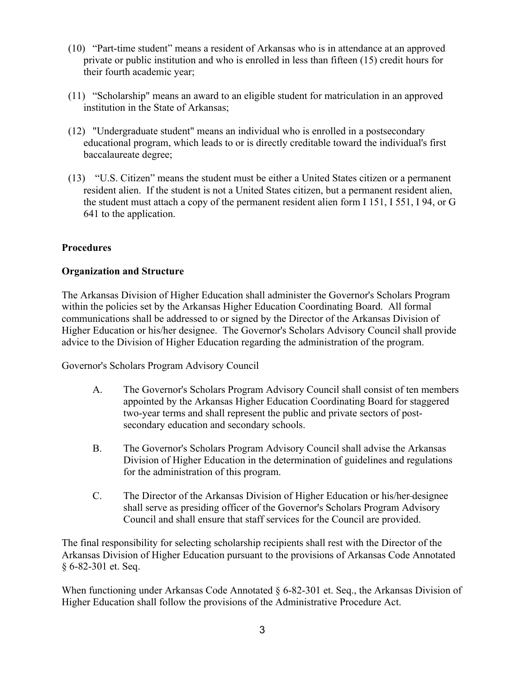- (10) "Part-time student" means a resident of Arkansas who is in attendance at an approved private or public institution and who is enrolled in less than fifteen (15) credit hours for their fourth academic year;
- (11) "Scholarship" means an award to an eligible student for matriculation in an approved institution in the State of Arkansas;
- (12) "Undergraduate student" means an individual who is enrolled in a postsecondary educational program, which leads to or is directly creditable toward the individual's first baccalaureate degree;
- (13) "U.S. Citizen" means the student must be either a United States citizen or a permanent resident alien. If the student is not a United States citizen, but a permanent resident alien, the student must attach a copy of the permanent resident alien form I 151, I 551, I 94, or G 641 to the application.

# **Procedures**

# **Organization and Structure**

The Arkansas Division of Higher Education shall administer the Governor's Scholars Program within the policies set by the Arkansas Higher Education Coordinating Board. All formal communications shall be addressed to or signed by the Director of the Arkansas Division of Higher Education or his/her designee. The Governor's Scholars Advisory Council shall provide advice to the Division of Higher Education regarding the administration of the program.

Governor's Scholars Program Advisory Council

- A. The Governor's Scholars Program Advisory Council shall consist of ten members appointed by the Arkansas Higher Education Coordinating Board for staggered two-year terms and shall represent the public and private sectors of postsecondary education and secondary schools.
- B. The Governor's Scholars Program Advisory Council shall advise the Arkansas Division of Higher Education in the determination of guidelines and regulations for the administration of this program.
- C. The Director of the Arkansas Division of Higher Education or his/her designee shall serve as presiding officer of the Governor's Scholars Program Advisory Council and shall ensure that staff services for the Council are provided.

The final responsibility for selecting scholarship recipients shall rest with the Director of the Arkansas Division of Higher Education pursuant to the provisions of Arkansas Code Annotated § 6-82-301 et. Seq.

When functioning under Arkansas Code Annotated § 6-82-301 et. Seq., the Arkansas Division of Higher Education shall follow the provisions of the Administrative Procedure Act.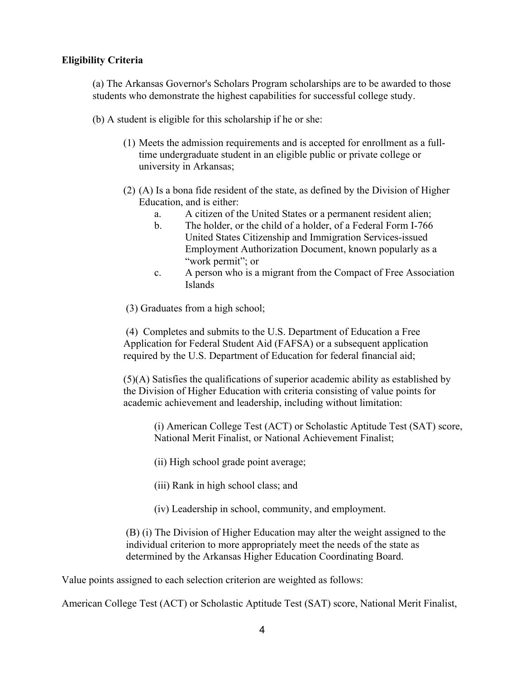### **Eligibility Criteria**

(a) The Arkansas Governor's Scholars Program scholarships are to be awarded to those students who demonstrate the highest capabilities for successful college study.

- (b) A student is eligible for this scholarship if he or she:
	- (1) Meets the admission requirements and is accepted for enrollment as a fulltime undergraduate student in an eligible public or private college or university in Arkansas;
	- (2) (A) Is a bona fide resident of the state, as defined by the Division of Higher Education, and is either:
		- a. A citizen of the United States or a permanent resident alien;
		- b. The holder, or the child of a holder, of a Federal Form I-766 United States Citizenship and Immigration Services-issued Employment Authorization Document, known popularly as a "work permit"; or
		- c. A person who is a migrant from the Compact of Free Association Islands
	- (3) Graduates from a high school;

(4) Completes and submits to the U.S. Department of Education a Free Application for Federal Student Aid (FAFSA) or a subsequent application required by the U.S. Department of Education for federal financial aid;

(5)(A) Satisfies the qualifications of superior academic ability as established by the Division of Higher Education with criteria consisting of value points for academic achievement and leadership, including without limitation:

(i) American College Test (ACT) or Scholastic Aptitude Test (SAT) score, National Merit Finalist, or National Achievement Finalist;

- (ii) High school grade point average;
- (iii) Rank in high school class; and
- (iv) Leadership in school, community, and employment.

(B) (i) The Division of Higher Education may alter the weight assigned to the individual criterion to more appropriately meet the needs of the state as determined by the Arkansas Higher Education Coordinating Board.

Value points assigned to each selection criterion are weighted as follows:

American College Test (ACT) or Scholastic Aptitude Test (SAT) score, National Merit Finalist,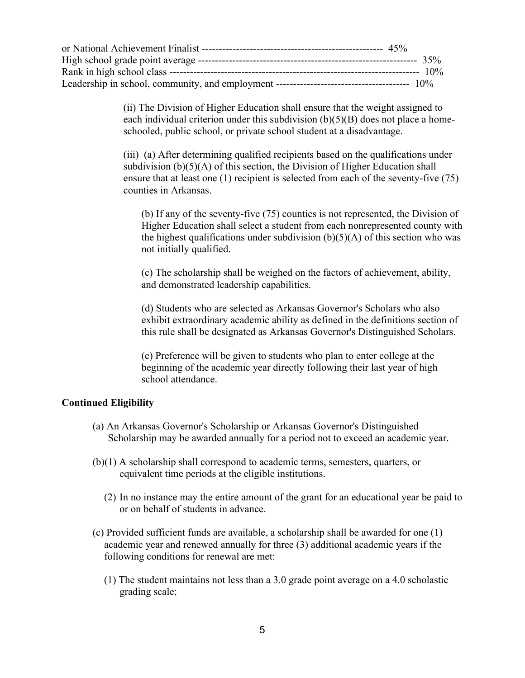(ii) The Division of Higher Education shall ensure that the weight assigned to each individual criterion under this subdivision  $(b)(5)(B)$  does not place a homeschooled, public school, or private school student at a disadvantage.

(iii) (a) After determining qualified recipients based on the qualifications under subdivision  $(b)(5)(A)$  of this section, the Division of Higher Education shall ensure that at least one (1) recipient is selected from each of the seventy-five (75) counties in Arkansas.

(b) If any of the seventy-five (75) counties is not represented, the Division of Higher Education shall select a student from each nonrepresented county with the highest qualifications under subdivision  $(b)(5)(A)$  of this section who was not initially qualified.

(c) The scholarship shall be weighed on the factors of achievement, ability, and demonstrated leadership capabilities.

(d) Students who are selected as Arkansas Governor's Scholars who also exhibit extraordinary academic ability as defined in the definitions section of this rule shall be designated as Arkansas Governor's Distinguished Scholars.

(e) Preference will be given to students who plan to enter college at the beginning of the academic year directly following their last year of high school attendance.

### **Continued Eligibility**

- (a) An Arkansas Governor's Scholarship or Arkansas Governor's Distinguished Scholarship may be awarded annually for a period not to exceed an academic year.
- (b)(1) A scholarship shall correspond to academic terms, semesters, quarters, or equivalent time periods at the eligible institutions.
	- (2) In no instance may the entire amount of the grant for an educational year be paid to or on behalf of students in advance.
- (c) Provided sufficient funds are available, a scholarship shall be awarded for one (1) academic year and renewed annually for three (3) additional academic years if the following conditions for renewal are met:
	- (1) The student maintains not less than a 3.0 grade point average on a 4.0 scholastic grading scale;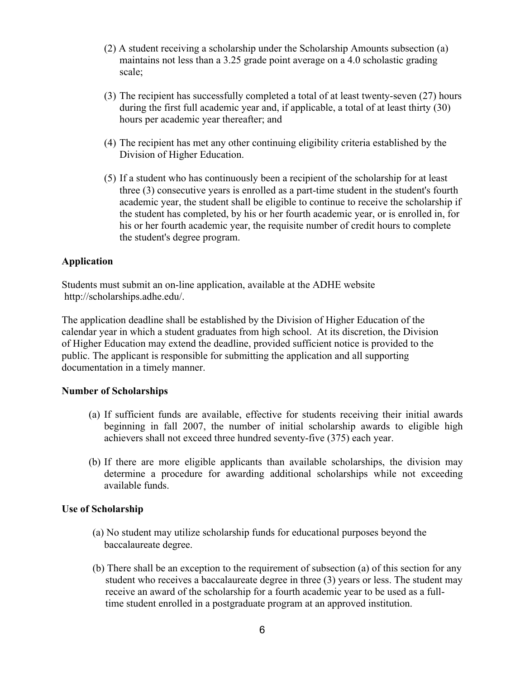- (2) A student receiving a scholarship under the Scholarship Amounts subsection (a) maintains not less than a 3.25 grade point average on a 4.0 scholastic grading scale;
- (3) The recipient has successfully completed a total of at least twenty-seven (27) hours during the first full academic year and, if applicable, a total of at least thirty (30) hours per academic year thereafter; and
- (4) The recipient has met any other continuing eligibility criteria established by the Division of Higher Education.
- (5) If a student who has continuously been a recipient of the scholarship for at least three (3) consecutive years is enrolled as a part-time student in the student's fourth academic year, the student shall be eligible to continue to receive the scholarship if the student has completed, by his or her fourth academic year, or is enrolled in, for his or her fourth academic year, the requisite number of credit hours to complete the student's degree program.

# **Application**

Students must submit an on-line application, available at the ADHE website http://scholarships.adhe.edu/.

The application deadline shall be established by the Division of Higher Education of the calendar year in which a student graduates from high school. At its discretion, the Division of Higher Education may extend the deadline, provided sufficient notice is provided to the public. The applicant is responsible for submitting the application and all supporting documentation in a timely manner.

### **Number of Scholarships**

- (a) If sufficient funds are available, effective for students receiving their initial awards beginning in fall 2007, the number of initial scholarship awards to eligible high achievers shall not exceed three hundred seventy-five (375) each year.
- (b) If there are more eligible applicants than available scholarships, the division may determine a procedure for awarding additional scholarships while not exceeding available funds.

### **Use of Scholarship**

- (a) No student may utilize scholarship funds for educational purposes beyond the baccalaureate degree.
- (b) There shall be an exception to the requirement of subsection (a) of this section for any student who receives a baccalaureate degree in three (3) years or less. The student may receive an award of the scholarship for a fourth academic year to be used as a fulltime student enrolled in a postgraduate program at an approved institution.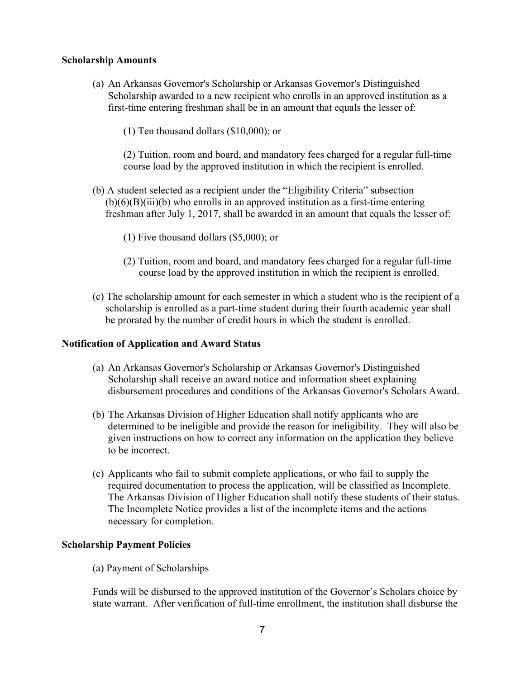### **Scholarship Amounts**

- (a) An Arkansas Governor's Scholarship or Arkansas Governor's Distinguished Scholarship awarded to a new recipient who enrolls in an approved institution as a first-time entering freshman shall be in an amount that equals the lesser of:
	- (1) Ten thousand dollars (\$10,000); or

(2) Tuition, room and board, and mandatory fees charged for a regular full-time course load by the approved institution in which the recipient is enrolled.

- (b) A student selected as a recipient under the "Eligibility Criteria" subsection  $(b)(6)(B)(iii)(b)$  who enrolls in an approved institution as a first-time entering freshman after July 1, 2017, shall be awarded in an amount that equals the lesser of:
	- (1) Five thousand dollars (\$5,000); or
	- (2) Tuition, room and board, and mandatory fees charged for a regular full-time course load by the approved institution in which the recipient is enrolled.
- (c) The scholarship amount for each semester in which a student who is the recipient of a scholarship is enrolled as a part-time student during their fourth academic year shall be prorated by the number of credit hours in which the student is enrolled.

### **Notification of Application and Award Status**

- (a) An Arkansas Governor's Scholarship or Arkansas Governor's Distinguished Scholarship shall receive an award notice and information sheet explaining disbursement procedures and conditions of the Arkansas Governor's Scholars Award.
- (b) The Arkansas Division of Higher Education shall notify applicants who are determined to be ineligible and provide the reason for ineligibility. They will also be given instructions on how to correct any information on the application they believe to be incorrect.
- (c) Applicants who fail to submit complete applications, or who fail to supply the required documentation to process the application, will be classified as Incomplete. The Arkansas Division of Higher Education shall notify these students of their status. The Incomplete Notice provides a list of the incomplete items and the actions necessary for completion.

### **Scholarship Payment Policies**

(a) Payment of Scholarships

Funds will be disbursed to the approved institution of the Governor's Scholars choice by state warrant. After verification of full-time enrollment, the institution shall disburse the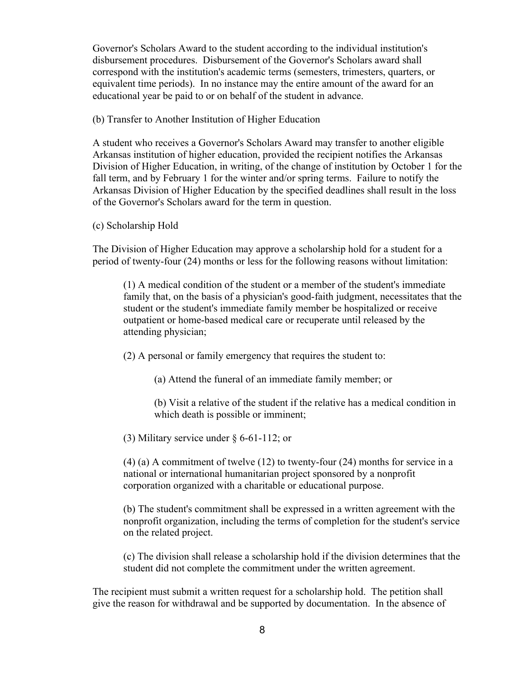Governor's Scholars Award to the student according to the individual institution's disbursement procedures. Disbursement of the Governor's Scholars award shall correspond with the institution's academic terms (semesters, trimesters, quarters, or equivalent time periods). In no instance may the entire amount of the award for an educational year be paid to or on behalf of the student in advance.

(b) Transfer to Another Institution of Higher Education

A student who receives a Governor's Scholars Award may transfer to another eligible Arkansas institution of higher education, provided the recipient notifies the Arkansas Division of Higher Education, in writing, of the change of institution by October 1 for the fall term, and by February 1 for the winter and/or spring terms. Failure to notify the Arkansas Division of Higher Education by the specified deadlines shall result in the loss of the Governor's Scholars award for the term in question.

(c) Scholarship Hold

The Division of Higher Education may approve a scholarship hold for a student for a period of twenty-four (24) months or less for the following reasons without limitation:

(1) A medical condition of the student or a member of the student's immediate family that, on the basis of a physician's good-faith judgment, necessitates that the student or the student's immediate family member be hospitalized or receive outpatient or home-based medical care or recuperate until released by the attending physician;

(2) A personal or family emergency that requires the student to:

(a) Attend the funeral of an immediate family member; or

(b) Visit a relative of the student if the relative has a medical condition in which death is possible or imminent;

(3) Military service under § 6-61-112; or

(4) (a) A commitment of twelve (12) to twenty-four (24) months for service in a national or international humanitarian project sponsored by a nonprofit corporation organized with a charitable or educational purpose.

(b) The student's commitment shall be expressed in a written agreement with the nonprofit organization, including the terms of completion for the student's service on the related project.

(c) The division shall release a scholarship hold if the division determines that the student did not complete the commitment under the written agreement.

The recipient must submit a written request for a scholarship hold. The petition shall give the reason for withdrawal and be supported by documentation. In the absence of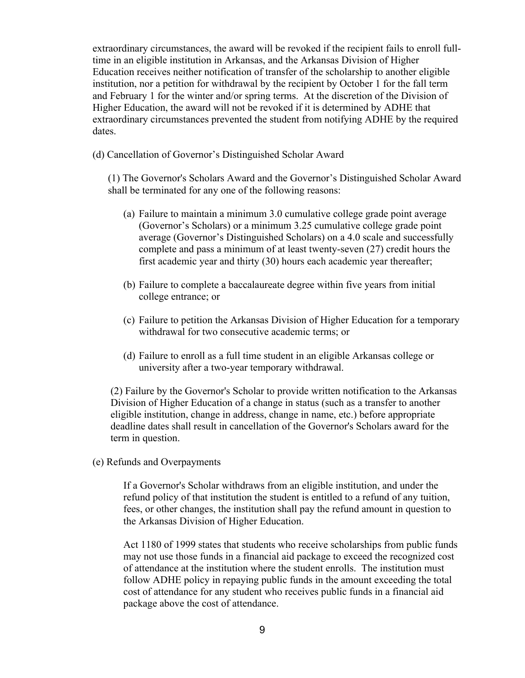extraordinary circumstances, the award will be revoked if the recipient fails to enroll fulltime in an eligible institution in Arkansas, and the Arkansas Division of Higher Education receives neither notification of transfer of the scholarship to another eligible institution, nor a petition for withdrawal by the recipient by October 1 for the fall term and February 1 for the winter and/or spring terms. At the discretion of the Division of Higher Education, the award will not be revoked if it is determined by ADHE that extraordinary circumstances prevented the student from notifying ADHE by the required dates.

(d) Cancellation of Governor's Distinguished Scholar Award

(1) The Governor's Scholars Award and the Governor's Distinguished Scholar Award shall be terminated for any one of the following reasons:

- (a) Failure to maintain a minimum 3.0 cumulative college grade point average (Governor's Scholars) or a minimum 3.25 cumulative college grade point average (Governor's Distinguished Scholars) on a 4.0 scale and successfully complete and pass a minimum of at least twenty-seven (27) credit hours the first academic year and thirty (30) hours each academic year thereafter;
- (b) Failure to complete a baccalaureate degree within five years from initial college entrance; or
- (c) Failure to petition the Arkansas Division of Higher Education for a temporary withdrawal for two consecutive academic terms; or
- (d) Failure to enroll as a full time student in an eligible Arkansas college or university after a two-year temporary withdrawal.

(2) Failure by the Governor's Scholar to provide written notification to the Arkansas Division of Higher Education of a change in status (such as a transfer to another eligible institution, change in address, change in name, etc.) before appropriate deadline dates shall result in cancellation of the Governor's Scholars award for the term in question.

(e) Refunds and Overpayments

If a Governor's Scholar withdraws from an eligible institution, and under the refund policy of that institution the student is entitled to a refund of any tuition, fees, or other changes, the institution shall pay the refund amount in question to the Arkansas Division of Higher Education.

Act 1180 of 1999 states that students who receive scholarships from public funds may not use those funds in a financial aid package to exceed the recognized cost of attendance at the institution where the student enrolls. The institution must follow ADHE policy in repaying public funds in the amount exceeding the total cost of attendance for any student who receives public funds in a financial aid package above the cost of attendance.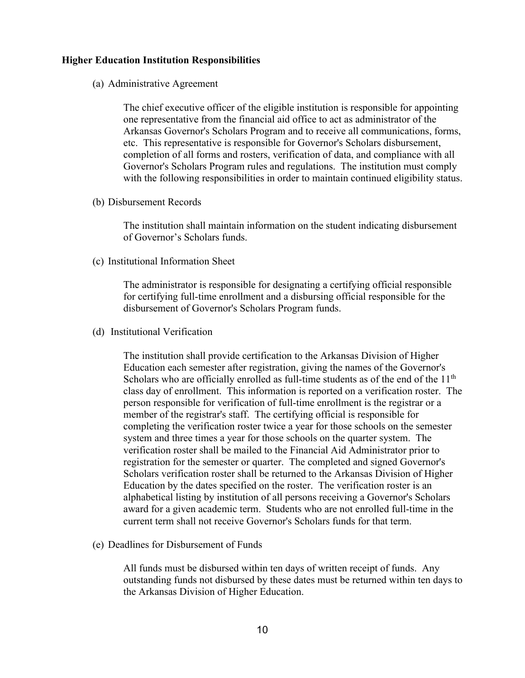### **Higher Education Institution Responsibilities**

(a) Administrative Agreement

The chief executive officer of the eligible institution is responsible for appointing one representative from the financial aid office to act as administrator of the Arkansas Governor's Scholars Program and to receive all communications, forms, etc. This representative is responsible for Governor's Scholars disbursement, completion of all forms and rosters, verification of data, and compliance with all Governor's Scholars Program rules and regulations. The institution must comply with the following responsibilities in order to maintain continued eligibility status.

(b) Disbursement Records

The institution shall maintain information on the student indicating disbursement of Governor's Scholars funds.

(c) Institutional Information Sheet

The administrator is responsible for designating a certifying official responsible for certifying full-time enrollment and a disbursing official responsible for the disbursement of Governor's Scholars Program funds.

(d) Institutional Verification

The institution shall provide certification to the Arkansas Division of Higher Education each semester after registration, giving the names of the Governor's Scholars who are officially enrolled as full-time students as of the end of the  $11<sup>th</sup>$ class day of enrollment. This information is reported on a verification roster. The person responsible for verification of full-time enrollment is the registrar or a member of the registrar's staff. The certifying official is responsible for completing the verification roster twice a year for those schools on the semester system and three times a year for those schools on the quarter system. The verification roster shall be mailed to the Financial Aid Administrator prior to registration for the semester or quarter. The completed and signed Governor's Scholars verification roster shall be returned to the Arkansas Division of Higher Education by the dates specified on the roster. The verification roster is an alphabetical listing by institution of all persons receiving a Governor's Scholars award for a given academic term. Students who are not enrolled full-time in the current term shall not receive Governor's Scholars funds for that term.

(e) Deadlines for Disbursement of Funds

All funds must be disbursed within ten days of written receipt of funds. Any outstanding funds not disbursed by these dates must be returned within ten days to the Arkansas Division of Higher Education.